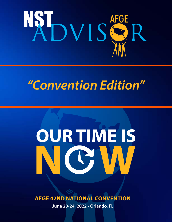

# *"Convention Edition"*

# OUR TIME IS

**AFGE 42ND NATIONAL CONVENTION** 

June 20-24, 2022 · Orlando, FL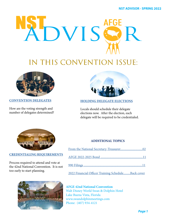<span id="page-2-0"></span>

# IN THIS CONVENTION ISSUE:



**[CONVENTION DELEGATES](#page-4-0)**

How are the voting strength and number of delegates determined?



### **[HOLDING DELEGATE ELECTIONS](#page-7-0)**

Locals should schedule their delegate elections now. After the election, each delegate will be required to be credentialed.



### **[CREDENTIALING REQUIREMENTS](#page-10-0)**

Process required to attend and vote at the 42nd National Convention. It is not too early to start planning.



### **ADDITIONAL TOPICS**

| 2022 Financial Officer Training ScheduleBack cover |  |
|----------------------------------------------------|--|

 **AFGE 42nd National Convention** Walt Disney World Swan & Dolphin Hotel Lake Buena Vista, Florida www.swandolphinmeetings.com Phone: (407) 934-4121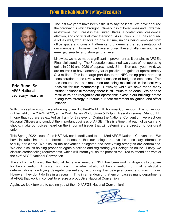### From the National Secretay-Treasurer

<span id="page-3-0"></span>

**Eric Bunn, Sr.** AFGE National Secretary-Treasurer

The last two years have been difficult to say the least. We have endured the coronavirus which brought untimely loss of loved ones and unwanted restrictions, civil unrest in the United States, a contentious presidential election, and conflicts all over the world. As a union, AFGE has endured a lot as well, with attacks on official time, unions being removed from office space and constant attempts to undermine the representation of our members. However, we have endured these challenges and have emerged smarter and stronger than ever.

Likewise, we have made significant improvement as it pertains to AFGE's Financial standing. The Federation sustained two years of net operating gains in 2019 and 2020 of approximately \$11 million each year. And, we are on track to have another year of positive net gains of approximately \$10 million. This is in large part due to the NEC taking great care and consideration in the review and allocation of budgeted expenses. This has ensured that our resources are being maximized in the best way possible for our membership. However, while we have made many strides to financial recovery, there is still much to be done. We need to restructure and reorganize our operations; invest in our building; create a long-term strategy to reduce our post-retirement obligation; and offset inflation.

With this as a backdrop, we are looking forward to the 42nd AFGE National Convention. The convention will be held June 20-24, 2022, at the Walt Disney World Swan & Dolphin Resort in sunny Orlando, FL. I hope that you are as excited as I am for this event. During the National Convention, we elect our National Officers and conduct the important business of AFGE. This is a time that each of us can, and should, make our voices heard on the important issues that will determine the direction of our great union.

This Spring 2022 issue of the NST Advisor is dedicated to the 42nd AFGE National Convention. We have included important information to ensure that our delegates have the necessary information to fully participate. We discuss the convention delegates and how voting strengths are determined. We also discuss holding proper delegate elections and registering your delegates online. Lastly, we discuss credentialing requirements, which will inform you on the process required to attend and vote at the 42<sup>nd</sup> AFGE National Convention.

The staff of the Office of the National Secretary-Treasurer (NST) has been working diligently to prepare for the convention. This staff is critical in the administration of the convention from making eligibility determinations, certifying delegate credentials, reconciling the delegate count and much more. However, they don't do this in a vacuum. This in an endeavor that encompasses many departments at AFGE that work in concert to ensure a productive National Convention.

Again, we look forward to seeing you at the  $42<sup>nd</sup> AFGE$  National Convention!

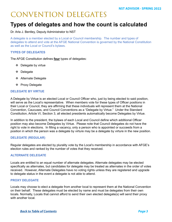# <span id="page-4-0"></span>CONVENTION DELEGATES

### **Types of delegates and how the count is calculated**

Dr. Arla J. Bentley, Deputy Administrator to NST

A delegate is a member elected by a Local or Council membership. The number and types of delegates to attend and vote at the AFGE National Convention is governed by the National Constitution as well as the Local or Council's bylaws.

### **TYPES OF DELEGATES**

The AFGE Constitution defines **four** types of delegates:

- ❖ Delegate by virtue
- Delegate
- ❖ Alternate Delegate
- ❖ Proxy Delegate

### **DELEGATE BY VIRTUE**

A Delegate by Virtue is an elected Local or Council Officer who, just by being elected to said position, will serve as the Local's representative. When members vote for these types of Officer positions in their Local or Council, they are affirming that these individuals will represent them at the National Convention, Caucuses, and Council Conventions as a "Delegate by Virtue." Under the Standard Constitution, Article VI, Section 3, all elected presidents automatically become Delegates by Virtue.

In addition to the president, the bylaws of each Local and Council define which additional Officer position may also become Delegates by Virtue. Please note that Council delegates do not have the right to vote in elections. In filling a vacancy, only a person who is appointed or succeeds from a position in which the person was a delegate by virture may be a delegate by virture in the new position.

### **DELEGATE (REGULAR)**

Regular delegates are elected by plurality vote by the Local's membership in accordance with AFGE's election rules and ranked by the number of votes that they received.

### **ALTERNATE DELEGATE**

Locals are entitled to an equal number of alternate delegates. Alternate delegates may be elected specifically as alternates, but candidates for delegate may be treated as alternates in the order of votes received. However, Alternate Delegates have no voting rights unless they are registered and upgrade to delegate status in the event a delegate is not able to attend.

### **PROXY DELEGATE**

Locals may choose to elect a delegate from another local to represent them at the National Convention on their behalf. These delegates must be elected by name and must be delegates from their own locals. Normally, Locals that cannot afford to send their own elected delegate(s) will send their proxy with another local.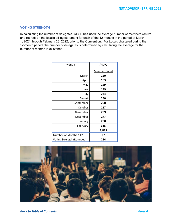### **VOTING STRENGTH**

In calculating the number of delegates, AFGE has used the average number of members (active and retired) on the local's billing statement for each of the 12 months in the period of March 1, 2021 through February 28, 2022, prior to the Convention. For Locals chartered during the 12-month period, the number of delegates is determined by calculating the average for the number of months in existence.

| <b>Months</b>             | Active              |
|---------------------------|---------------------|
|                           | <b>Member Count</b> |
| March                     | 150                 |
| April                     | 163                 |
| May                       | 169                 |
| June                      | 199                 |
| July                      | 244                 |
| August                    | 250                 |
| September                 | 250                 |
| October                   | 257                 |
| November                  | 259                 |
| December                  | 277                 |
| January                   | 280                 |
| February                  | <u>315</u>          |
|                           | 2,813               |
| Number of Months / 12     | 12                  |
| Voting Strength (Rounded) | 234                 |

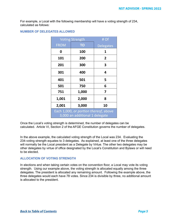For example, a Local with the following membership will have a voting strength of 234, calculated as follows:

### **NUMBER OF DELEGATES ALLOWED**

| <b>Voting Strength</b>                                                  |           | # Of             |
|-------------------------------------------------------------------------|-----------|------------------|
| <b>FROM</b>                                                             | <b>TO</b> | <b>Delegates</b> |
| 0                                                                       | 100       | 1                |
| 101                                                                     | 200       | 2                |
| 201                                                                     | 300       | 3                |
| 301                                                                     | 400       | 4                |
| 401                                                                     | 501       | 5                |
| 501                                                                     | 750       | 6                |
| 751                                                                     | 1,000     | 7                |
| 1,001                                                                   | 2,000     | 8                |
| 2,001                                                                   | 3,000     | 10               |
| Each 1,000, or portion thereof, above<br>3,000 an additional 1 delegate |           |                  |

Once the Local's voting strength is determined, the number of delegates can be calculated. Article VI, Section 2 of the AFGE Constitution governs the number of delegates.

In the above example, the calculated voting strength of the Local was 234. Evaluating the 234-voting strength equates to 3 delegates. As explained, at least one of the three delegates will normally be the Local president as a Delegate by Virtue. The other two delegates may be other delegates by virtue of office designated by the Local's Constitution and Bylaws or will need to be elected.

### **ALLOCATION OF VOTING STRENGTH**

In elections and when taking certain votes on the convention floor, a Local may vote its voting strength. Using our example above, the voting strength is allocated equally among the three delegates. The president is allocated any remaining amount. Following the example above, the three delegates would each have 78 votes. Since 234 is divisible by three, no additional amount is allocated to the president.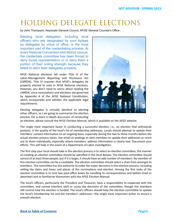# <span id="page-7-0"></span>HOLDING DELEGATE ELECTIONS

by John Thompson, Associate General Council, AFGE General Counsel's Office

Electing local delegates, including local officers who are designated by your bylaws as delegates by virtue of office, is the most important part of the credentialing process. At every National Convention and district caucus, the credentials committee has been forced to deny locals representation or to deny them a portion of their voting strength because they failed to elect their delegates properly.

AFGE National elections fall under Title IV of the Labor-Management Reporting and Disclosure Act (LMRDA). Title IV requires that AFGE's delegates be properly elected to vote in AFGE National elections. However, you don't need to worry about reading the LMRDA, since nominations and elections are governed by Appendix A of the AFGE National Constitution, which incorporates and satisfies the applicable legal requirements.

Electing delegates is virtually identical to electing other officers, so I am going to summarize the election process. For a more in-depth discussion of conducting



an election, please consult the AFGE Election Manual, which is available on the AFGE website.

The single most important factor in conducting a successful election, i.e., an election that withstands protests, is the quality of the local's list of membership addresses. Locals should attempt to update their members' contact information on an ongoing basis, especially during the two to three months before the actual election process starts. Use email or postings to alert members to update their addresses or reach out to them individually, especially where members' address information is clearly bad. Document your efforts. This will help in the event of a Department of Labor investigation.

The first step your local should take in the election process is to select an election committee; the manner of creating an election committee should be specified in the local Bylaws. The election committee should consist of at least three people, but if it is larger, it should have an odd number of members. No member of this election committee can be a candidate. The election committee should select a chair from amongst its members. The committee has the authority to make the major decisions in the election process, including setting the dates and times and places of the nominations and election. Among the first tasks of the election committee is to rent two post-office boxes for handling its correspondence and ballots (mail or absentee) and to familiarize themselves with the AFGE Election Manual.

The local's officers, particularly the President and Treasurer, have a responsibility to cooperate with the committee, and cannot interfere with or usurp the decisions of the committee, though the members still control how the election is funded. The local's officers should help the election committee to update the local's membership list and the members' addresses—the single most important action to ensure a smooth election.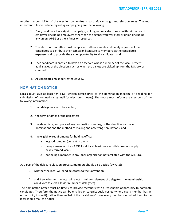Another responsibility of the election committee is to draft campaign and election rules. The most important rules to include regarding campaigning are the following:

- 1. Every candidate has a right to campaign, so long as he or she does so without the use of employer (including employers other than the agency you work for) or union (including any union, AFGE or other) funds or resources;
- 2. The election committee must comply with all reasonable and timely requests of the candidates to distribute their campaign literature to members, at the candidate's expense, and to provide the same opportunity to all candidates; and
- 3. Each candidate is entitled to have an observer, who is a member of the local, present at all stages of the election, such as when the ballots are picked up from the P.O. box or counted.
- 4. All candidates must be treated equally.

### **NOMINATION NOTICE**

Locals must give at least ten days' written notice prior to the nomination meeting or deadline for submission of nominations by mail (or electronic means). The notice must inform the members of the following information:

- 1. that delegates are to be elected;
- 2. the term of office of the delegates;
- 3. the date, time, and place of any nomination meeting, or the deadline for mailed nominations and the method of making and accepting nominations; and
- 4. the eligibility requirements for holding office:
	- a. in good standing (current in dues).
	- b. being a member of an AFGE local for at least one year (this does not apply to newly formed locals).
	- c. not being a member in any labor organization not affiliated with the AFL-CIO.

As a part of the delegate election process, members should also decide (by vote):

- 1. whether the local will send delegates to the Convention;
- 2. and if so, whether the local will elect its full complement of delegates (the membership could vote to elect a lesser number of delegates)

The nomination notice must be timely to provide members with a reasonable opportunity to nominate candidates. Therefore, the notice can be emailed or conspicuously posted (where every member has an opportunity to see it), rather than mailed. If the local doesn't have every member's email address, to the local should mail the notice.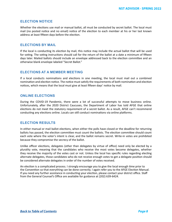### **ELECTION NOTICE**

Whether the elections use mail or manual ballot, all must be conducted by secret ballot. The local must mail (no posted notice and no email) notice of the election to each member at his or her last known address at least fifteen days before the election.

### **ELECTIONS BY MAIL**

If the local is conducting its election by mail, this notice may include the actual ballot that will be used for voting. The voting instructions should call for the return of the ballot at a date a minimum of fifteen days later. Mailed ballots should include an envelope addressed back to the election committee and an otherwise blank envelope labeled "Secret Ballot."

### **ELECTIONS AT A MEMBER MEETING**

If a local conducts nominations and elections in one meeting, the local must mail out a combined nomination and election notice. The notice must satisfy the requirements of both nomination and election notices, which means that the local must give at least fifteen days' notice by mail.

### **ONLINE ELECTIONS**

During the COVID-19 Pandemic, there were a lot of successful attempts to move business online. Unfortunately, after the 2020 District Caucuses, the Department of Labor has told AFGE that online elections do not meet the statutory requirement of a secret ballot. As a result, AFGE can't recommend conducting any elections online. Locals can still conduct nominations via online platforms.

### **ELECTION RESULTS**

In either manual or mail ballot elections, when either the polls have closed or the deadline for returning ballots has passed, the election committee must count the ballots. The election committee should count each vote where the voter's intent is clear, and the ballot remains secret. Write-in votes are prohibited because they compromise the secrecy of the ballot.

Unlike officer elections, delegates (other than delegates by virtue of office) need only be elected by a plurality vote, meaning that the candidates who receive the most votes become delegates, whether they receive the majority of the votes cast or not. Unless the local has specific rules regarding electing alternate delegates, those candidates who do not receive enough votes to get a delegate position should be considered alternate delegates in order of the number of votes received.

An election is a complicated process. I strongly encourage you to give the local enough time prior to the Convention so that everything can be done correctly. I again refer you to the AFGE Election Manual. If you need any further assistance in conducting your election, please contact your district office. Staff from the General Counsel's Office are available for guidance at (202) 639-6424.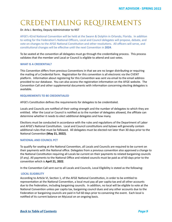## <span id="page-10-0"></span>CREDENTIALING REQUIREMENTS

### Dr. Arla J. Bentley, Deputy Administrator to NST

AFGE's 42nd National Convention will be held at the Swann & Dolphin in Orlando, Florida. In addition to voting for the Federation's National Officers, Local and Council delegates will propose, debate, and vote on changes to the AFGE National Constitution and other resolutions. All officers will serve, and constitutional changes will be effective until the next Convention in **2024**.

To be seated at the convention all delegates must go through the credentialing process. This process validates that the member and Local or Council is eligible to attend and cast votes.

### **WHAT IS A CREDENTIAL?**

This Convention differs from previous Conventions in that we are no longer distributing or requiring the mailing of a Credential form. Registration for this convention is all electronic via the CVENT platform. Information about registering for this Convention was sent via email to the email address provided to our database. You can also access the registration information on the AFGE website. The Convention Call and other supplemental documents with information concerning electing delegates is available.

### **REQUIREMENTS TO BE CREDENTIALED**

AFGE's Constitution defines the requirements for delegates to be credentialed.

Locals and Councils are notified of their voting strength and the number of delegates to which they are entitled. After the Local or Council is notified as to the number of delegates allowed, the affiliate can determine whether it needs to elect additional delegates and how many.

Elections must be conducted in accordance with the rules and regulations of the Department of Labor and AFGE's National Constitution. Local and Council constitutions and bylaws will generally contain additional rules that must be followed. All delegates must be elected not later than 30 days prior to the National Convention **(May 21, 2022).**

### **NATIONAL AND COUNCIL PCT**

To qualify for seating at the National Convention, all Locals and Councils are required to be current on their payments with the National office. Delegates from a previous convention also approved a change to the National Constitution requiring all Locals be current on their payments to related bargaining councils (if any). All payments to the National Office and related councils must be paid as of 60 days prior to the convention which is **April 21, 2022**.

In the Convention Call sent out to all Locals and Councils, Local Eligibility is stated as the following:

### **LOCAL ELIGIBILITY**

According to Article VI, Section 1, of the AFGE National Constitution, in order to be entitled to representation at the National Convention, a local must pay all per capita tax and all other accounts due to the Federation, including bargaining councils. In addition, no local will be eligible to vote at the National Convention unless per capita tax, bargaining council dues and any other accounts due to the Federation or bargaining councils are paid in full 60 days prior to convening the event. Each local is notified of its current balance on MyLocal on an ongoing basis.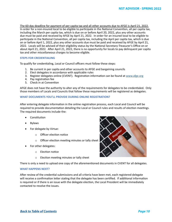The 60-day deadline for payment of per capita tax and all other accounts due to AFGE is April 21, 2022. In order for a non-insured local to be eligible to participate in the National Convention, all per capita tax, including the March per capita tax, which is due on or before April 20, 2022, plus any other accounts due must be paid and received by AFGE by April 21, 2022. In order for an insured local to be eligible to participate in the National Convention, all per capita tax, including the April per capita tax, which is due on or before April 1, 2022, plus any other accounts due must be paid and received by AFGE by April 21, 2022. Locals will be advised of their eligibility status by the National Secretary-Treasurer's Office on or about April 21, 2022. After April 21, 2022, there is no opportunity for locals to pay delinquent per capita tax and other miscellaneous charges to become eligible.

### **STEPS FOR CREDENTIALING**

To qualify for credentialing, Local or Council officers must follow these steps:

- 1. Be current in per capita and other accounts to AFGE and bargaining councils
- 2. Elect delegates in accordance with applicable rules
- 3. Register delegates online (CVENT). Registration information can be found at [www.afge.org](http://www.afge.org)
- 4. Pay registration fee
- 5. Check in at Convention

AFGE does not have the authority to alter any of the requirements for delegates to be credentialed. Only those members of Locals and Councils that follow these requirements will be registered as delegates.

### **WHAT DOCUMENTS YOU'LL PROVIDE DURING ONLINE REGISTRATION?**

After entering delegate information in the online registration process, each Local and Council will be required to provide documentation detailing the Local or Council rules and results of election meetings. The required documents include the:

- **Constitution**
- **Bylaws**
- For delegate by Virtue:
	- o Officer election notice
	- o Officer election meeting minutes or tally sheet
- For other delegates:
	- o Election notice
	- o Election meeting minutes or tally sheet

There is only a need to upload one copy of the aforementioned documents in CVENT for all delegates.

### **WHAT HAPPENS NEXT?**

After review of the credential submissions and all criteria have been met, each registered delegate will receive a confirmation letter stating that the delegate has been certified. If additional information is required or if there is an issue with the delegate election, the Local President will be immediately contacted to resolve the issues.

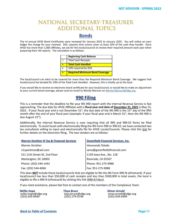### <span id="page-12-0"></span>NATIONAL SECRETARY-TREASURER ADDITIONAL TOPICS

### **Bonds**

The tri-annual AFGE Bond Certificates were renewed for January 2022 to January 2025. You will notice on your ledger the charge for your renewal. DOL requires that unions cover at least 10% of the cash they handle. Since AFGE has more than 1,000 affiliates, we ask for the locals/councils to review their required amount each year when preparing their LM reports. The calculation is as follows:

|   | <b>Beginning Cash Balance</b>         |
|---|---------------------------------------|
|   | <b>Total Cash Receipts</b>            |
|   | <b>Total Cash Handled</b>             |
| x | 10% required by DOL                   |
|   | <b>Required Minimum Bond Coverage</b> |

The local/council can elect to be covered for more than the Required Minimum Bond Coverage. We suggest that locals/council be bonded for 20% of the Total Cash Handled. However, this is totally up to the local.

If you would like to receive an electronic bond certificate for your local/council; or would like to make an adjustment to your current bond coverage, please send an email to Wanda Manson on [Wanda.Manson@afge.org](mailto:Wanda.Manson%40afge.org?subject=).

### **990 Filing**

This is a reminder that the deadline to file your IRS 990 report with the Internal Revenue Service is fast approaching. The due date for AFGE Affiliates with a **fiscal year end date of December 31, 2021** is May 15, 2022. If your fiscal year end is not December  $31^{st}$ , the due date of the IRS 990 is the  $15^{th}$  day of the fifth month after the end of your fiscal year (example: if your fiscal year end is March  $31^{st}$ , then the IRS 990 is due August 15<sup>th</sup>).

Additionally, the Internal Revenue Service is now requiring that all 990 and 990-EZ forms be filed electronically. To assist locals with electronically filing the IRS Form 990 or 990-EZ, we have contacted two tax consultants willing to input and electronically file for AFGE Locals/Councils. Please click this [link](https://www.afge.org/leaders-activists/financial-officers-training/nst-alerts/lm-and-990-report-due-dates/) for further details on the electronic filing. The two vendors are as follows:

| <b>Warren Strother III Tax &amp; Financial Services</b> | <b>Greenfield Financial Services, Inc.</b> |
|---------------------------------------------------------|--------------------------------------------|
| Warren Strother                                         | Veneranda Toledo                           |
| n1sparkman@aol.com                                      | vene@greenfieldsfinancial.com              |
| 511 11th Street SE, 2nd Floor                           | 1159 Iowa Ave., Ste. 118                   |
| Washington, DC 20003                                    | Riverside, CA 92507                        |
| Phone: (202) 544-1442                                   | Phone: 951-275-9986                        |
| Fax: (202) 544-4066                                     | Fax: 951-275-9088                          |

This does *NOT* include those locals/councils that are eligible to file the IRS Form 990-N (ePostcard). If your local/council has less than \$50,000 of cash receipts and less than \$500,000 in total assets, the local is eligible to file a 990-N (ePostcard) by clicking this link [\(990-N Filers](https://nam10.safelinks.protection.outlook.com/?url=https%3A%2F%2Fu1584542.ct.sendgrid.net%2Fss%2Fc%2FwehEm_vu1NBVXOKYSqOxTDcCdVVNsQE-W51L2POvll9v2ls7N6OvJXzfrDLgQY2vJw5CFWefZ6YFe4mrLd4w_NdyjGY2vb0hVXbSG780etSn4DYRcMsngKueqEni8q-uz0Wu2p4LL2vtoi-_EHgtnGQv-KzJw6keYS0zX5RvC-NS8d9YVfSIq7r1PUp9D_K5A1JoTehvljF6VApUqgfgZu9RT1PMr0or2OnkNy2JqyMNeUXs9AtyOCAlRnKhYJcdfmbLW4lVaOe3eMKSWyAmqIK6tY0UyIikED3M3HRYpHWTe_feqTI3qaqi9ziYfPiihWquI249JF2NzLnwGmYMFvV62W4sE__RdUoZ0vd00z7GEQnllMz3WvlAzjA2ldoqLQpquh-CDMs6UKW8Ck4UixqHSebTA5oQ_Z6cSHiPZgcKfQRcpieVYYiYNbqSRvIF7vd7ZkH2jDC0lL9JAwiwzHhU4-2RFKfYrJVIFC6tkaYcVgDNp-DMUkk9EwpOIrp8HVNmWOa_Jne1RnoNRhgcXSeI57lWasSXdW7JBduQIuzHcSGQHIZwF15BL54LA9qUXOspj4q6UphIFR_9y9vZywEIgsGdiems0tMVXaeHJNpCkUPeeScUlWjfrZ2Mj_w7nIyMIJap6U1fS73kPOAcnc5rfmRfSLTWrZEzcEgVMgzL3XfFO9UfoExN60GUJg11dClqfgxxFVdfX8a76hgfp-gBIFaswvqZQ2RbcGbSZt_lyw1O4M4rQoLnSsN3DSJcGsxwiN7tzfyoPPk0MGdV_J10Z8-HBXuU3rAN_qiGj5kCu-vsik16sS9xj36DcQ6zWsC4ffIgq8i5_9IC2GpAk7ErnADGcnHBz8P6g9y13VW4gSnvS4k9UQoZsVtCCPCf1lskOMivtpX0u5czCQJegLAYABuOXgFmSNNrsq5rbv8%2F3jm%2FdgLiPt_JQrCuvqy24_SPWg%2Fh1%2FKFQ6kgbTTcdQJlbixA0IP4sN4qGdZeitGLK_1FpqFSE&data=04%7C01%7Cblandc%40afge.org%7Cc7aecc58fc1346f09b9008d9f175080c%7C527c0fbbcd144643a3b4d84bb5954133%7C1%7C0%7C637806307231060302%7CUnknown%7CTWFpbGZsb3d8eyJWIjoiMC4wLjAwMDAiLCJQIjoiV2luMzIiLCJBTiI6Ik1haWwiLCJXVCI6Mn0%3D%7C3000&sdata=vBYK2ruudoDxxX8eqKPqGbdfVgb6Vr8NKIlQIsW0igw%3D&reserved=0)).

If you need assistance, please feel free to contact one of the members of the Compliance Team:

| <b>Willie Hope</b>                       | <b>Teya Bruce</b>                      |
|------------------------------------------|----------------------------------------|
| willie.hope@afge.org<br>$(202)$ 639-6949 | teya.bruce@afge.or<br>$(202)$ 279-0746 |
|                                          |                                        |

*Willie Hope Teya Bruce Omar Arnold* g tega.bruce@afge.org texas.bruce@afge.org (202) 639-6499